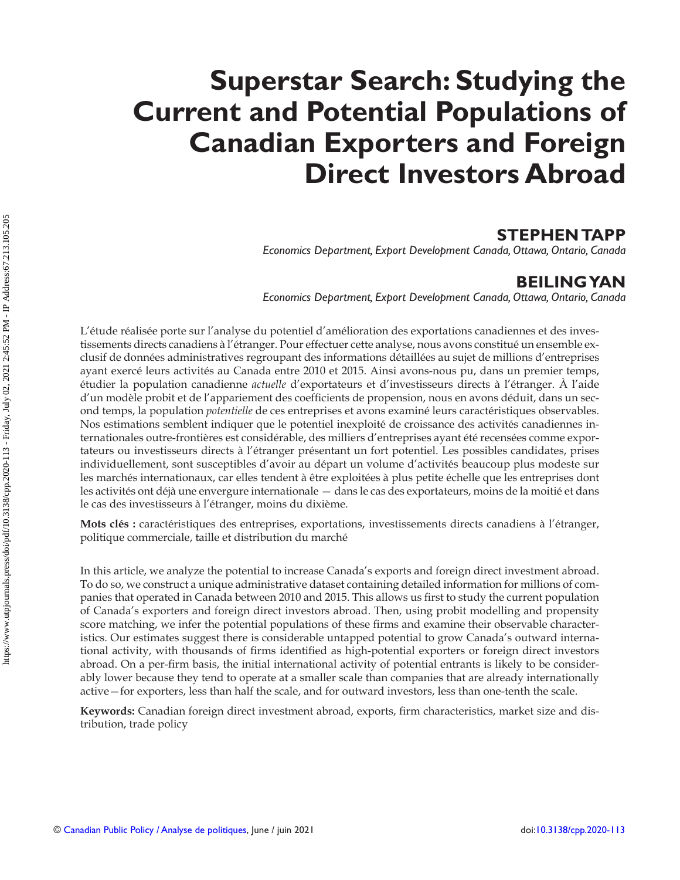# **Superstar Search: Studying the Current and Potential Populations of Canadian Exporters and Foreign Direct Investors Abroad**

## **STEPHEN TAPP**

 *Economics Department, Export Development Canada, Ottawa, Ontario, Canada* 

# **BEILING YAN**

 *Economics Department, Export Development Canada, Ottawa, Ontario, Canada* 

 L'étude réalisée porte sur l'analyse du potentiel d'amélioration des exportations canadiennes et des investissements directs canadiens à l'étranger. Pour effectuer cette analyse, nous avons constitué un ensemble exclusif de données administratives regroupant des informations détaillées au sujet de millions d'entreprises ayant exercé leurs activités au Canada entre 2010 et 2015. Ainsi avons-nous pu, dans un premier temps, étudier la population canadienne *actuelle* d'exportateurs et d'investisseurs directs à l'étranger. À l'aide d'un modèle probit et de l'appariement des coefficients de propension, nous en avons déduit, dans un second temps, la population *potentielle* de ces entreprises et avons examiné leurs caractéristiques observables. Nos estimations semblent indiquer que le potentiel inexploité de croissance des activités canadiennes internationales outre-frontières est considérable, des milliers d'entreprises ayant été recensées comme exportateurs ou investisseurs directs à l'étranger présentant un fort potentiel. Les possibles candidates, prises individuellement, sont susceptibles d'avoir au départ un volume d'activités beaucoup plus modeste sur les marchés internationaux, car elles tendent à être exploitées à plus petite échelle que les entreprises dont les activités ont déjà une envergure internationale — dans le cas des exportateurs, moins de la moitié et dans le cas des investisseurs à l'étranger, moins du dixième.

**Mots clés :** caractéristiques des entreprises, exportations, investissements directs canadiens à l'étranger, politique commerciale, taille et distribution du marché

 In this article, we analyze the potential to increase Canada's exports and foreign direct investment abroad. To do so, we construct a unique administrative dataset containing detailed information for millions of companies that operated in Canada between 2010 and 2015. This allows us first to study the current population of Canada's exporters and foreign direct investors abroad. Then, using probit modelling and propensity score matching, we infer the potential populations of these firms and examine their observable characteristics. Our estimates suggest there is considerable untapped potential to grow Canada's outward international activity, with thousands of firms identified as high-potential exporters or foreign direct investors abroad. On a per-firm basis, the initial international activity of potential entrants is likely to be considerably lower because they tend to operate at a smaller scale than companies that are already internationally active—for exporters, less than half the scale, and for outward investors, less than one-tenth the scale.

**Keywords:** Canadian foreign direct investment abroad, exports, firm characteristics, market size and distribution, trade policy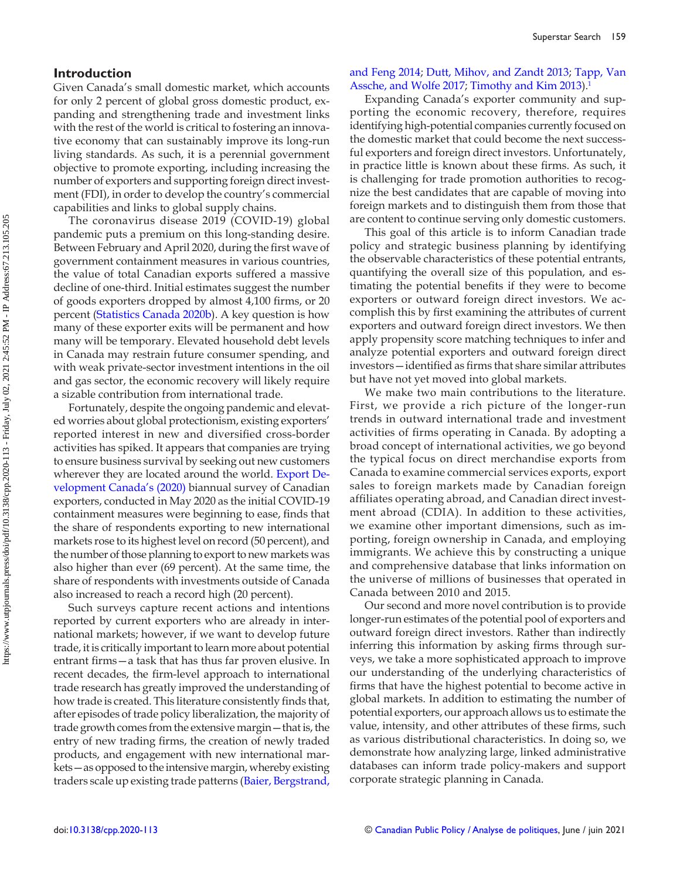#### <span id="page-1-0"></span> **Introduction**

 Given Canada's small domestic market, which accounts for only 2 percent of global gross domestic product, expanding and strengthening trade and investment links with the rest of the world is critical to fostering an innovative economy that can sustainably improve its long-run living standards. As such, it is a perennial government objective to promote exporting, including increasing the number of exporters and supporting foreign direct investment (FDI), in order to develop the country's commercial capabilities and links to global supply chains.

 The coronavirus disease 2019 (COVID-19) global pandemic puts a premium on this long-standing desire. Between February and April 2020, during the first wave of government containment measures in various countries, the value of total Canadian exports suffered a massive decline of one-third. Initial estimates suggest the number of goods exporters dropped by almost 4,100 firms, or 20 percent ([Statistics Canada 2020b](#page-11-0)). A key question is how many of these exporter exits will be permanent and how many will be temporary. Elevated household debt levels in Canada may restrain future consumer spending, and with weak private-sector investment intentions in the oil and gas sector, the economic recovery will likely require a sizable contribution from international trade.

 Fortunately, despite the ongoing pandemic and elevated worries about global protectionism, existing exporters' reported interest in new and diversified cross-border activities has spiked. It appears that companies are trying to ensure business survival by seeking out new customers wherever they are located around the world. [Export De](#page-11-0)[velopment Canada's \(2020\)](#page-11-0) biannual survey of Canadian exporters, conducted in May 2020 as the initial COVID-19 containment measures were beginning to ease, finds that the share of respondents exporting to new international markets rose to its highest level on record (50 percent), and the number of those planning to export to new markets was also higher than ever (69 percent). At the same time, the share of respondents with investments outside of Canada also increased to reach a record high (20 percent).

 Such surveys capture recent actions and intentions reported by current exporters who are already in international markets; however, if we want to develop future trade, it is critically important to learn more about potential entrant firms—a task that has thus far proven elusive. In recent decades, the firm-level approach to international trade research has greatly improved the understanding of how trade is created. This literature consistently finds that, after episodes of trade policy liberalization, the majority of trade growth comes from the extensive margin—that is, the entry of new trading firms, the creation of newly traded products, and engagement with new international markets—as opposed to the intensive margin, whereby existing traders scale up existing trade patterns (Baier, Bergstrand,

## [and Feng 2014](#page-10-0); [Dutt, Mihov, and Zandt 2013](#page-11-0); [Tapp, Van](#page-11-0) [Assche, and Wolfe 2017](#page-11-0); [Timothy and Kim 2013](#page-11-0)).<sup>1</sup>

 Expanding Canada's exporter community and supporting the economic recovery, therefore, requires identifying high-potential companies currently focused on the domestic market that could become the next successful exporters and foreign direct investors. Unfortunately, in practice little is known about these firms. As such, it is challenging for trade promotion authorities to recognize the best candidates that are capable of moving into foreign markets and to distinguish them from those that are content to continue serving only domestic customers.

 This goal of this article is to inform Canadian trade policy and strategic business planning by identifying the observable characteristics of these potential entrants, quantifying the overall size of this population, and estimating the potential benefits if they were to become exporters or outward foreign direct investors. We accomplish this by first examining the attributes of current exporters and outward foreign direct investors. We then apply propensity score matching techniques to infer and analyze potential exporters and outward foreign direct investors—identified as firms that share similar attributes but have not yet moved into global markets.

 We make two main contributions to the literature. First, we provide a rich picture of the longer-run trends in outward international trade and investment activities of firms operating in Canada. By adopting a broad concept of international activities, we go beyond the typical focus on direct merchandise exports from Canada to examine commercial services exports, export sales to foreign markets made by Canadian foreign affiliates operating abroad, and Canadian direct investment abroad (CDIA). In addition to these activities, we examine other important dimensions, such as importing, foreign ownership in Canada, and employing immigrants. We achieve this by constructing a unique and comprehensive database that links information on the universe of millions of businesses that operated in Canada between 2010 and 2015.

 Our second and more novel contribution is to provide longer-run estimates of the potential pool of exporters and outward foreign direct investors. Rather than indirectly inferring this information by asking firms through surveys, we take a more sophisticated approach to improve our understanding of the underlying characteristics of firms that have the highest potential to become active in global markets. In addition to estimating the number of potential exporters, our approach allows us to estimate the value, intensity, and other attributes of these firms, such as various distributional characteristics. In doing so, we demonstrate how analyzing large, linked administrative databases can inform trade policy-makers and support corporate strategic planning in Canada.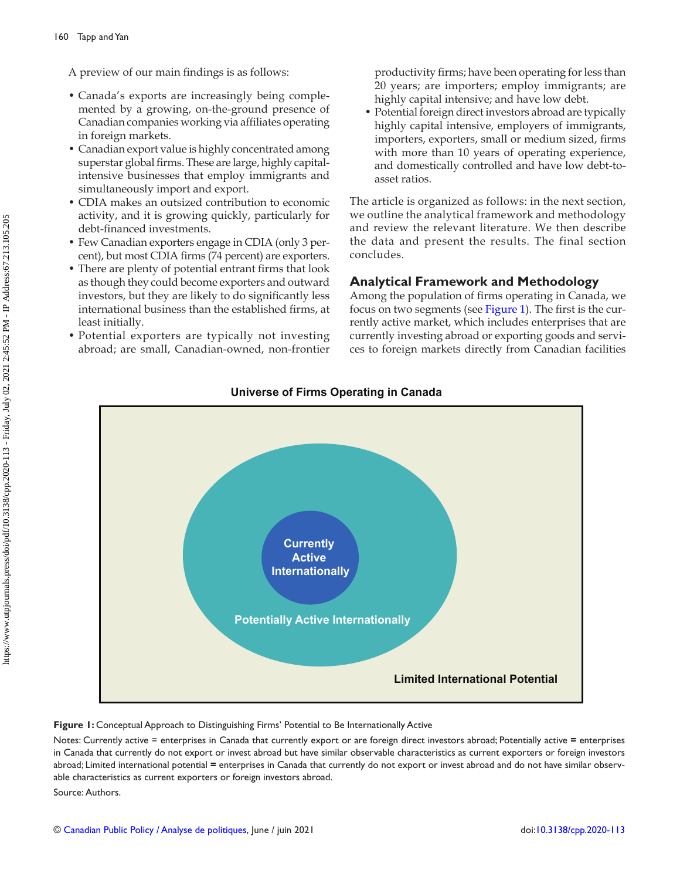A preview of our main findings is as follows:

- Canada's exports are increasingly being complemented by a growing, on-the-ground presence of Canadian companies working via affiliates operating in foreign markets.
- Canadian export value is highly concentrated among superstar global firms. These are large, highly capitalintensive businesses that employ immigrants and simultaneously import and export.
- CDIA makes an outsized contribution to economic activity, and it is growing quickly, particularly for debt-financed investments.
- Few Canadian exporters engage in CDIA (only 3 percent), but most CDIA firms (74 percent) are exporters.
- There are plenty of potential entrant firms that look as though they could become exporters and outward investors, but they are likely to do significantly less international business than the established firms, at least initially.
- Potential exporters are typically not investing abroad; are small, Canadian-owned, non-frontier

productivity firms; have been operating for less than 20 years; are importers; employ immigrants; are highly capital intensive; and have low debt.

• Potential foreign direct investors abroad are typically highly capital intensive, employers of immigrants, importers, exporters, small or medium sized, firms with more than 10 years of operating experience, and domestically controlled and have low debt-toasset ratios.

 The article is organized as follows: in the next section, we outline the analytical framework and methodology and review the relevant literature. We then describe the data and present the results. The final section concludes.

## **Analytical Framework and Methodology**

Among the population of firms operating in Canada, we focus on two segments (see Figure 1). The first is the currently active market, which includes enterprises that are currently investing abroad or exporting goods and services to foreign markets directly from Canadian facilities



## **Universe of Firms Operating in Canada**

## **Figure 1:** Conceptual Approach to Distinguishing Firms' Potential to Be Internationally Active

Notes: Currently active = enterprises in Canada that currently export or are foreign direct investors abroad; Potentially active **=** enterprises in Canada that currently do not export or invest abroad but have similar observable characteristics as current exporters or foreign investors abroad; Limited international potential **=** enterprises in Canada that currently do not export or invest abroad and do not have similar observable characteristics as current exporters or foreign investors abroad.

Source: Authors.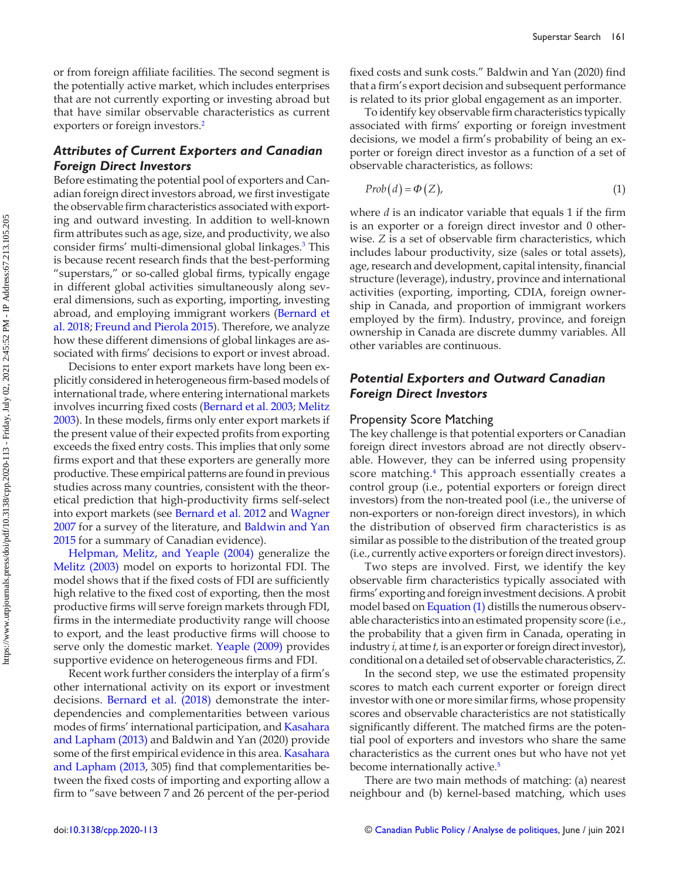<span id="page-3-0"></span>or from foreign affiliate facilities. The second segment is the potentially active market, which includes enterprises that are not currently exporting or investing abroad but that have similar observable characteristics as current exporters or foreign investors.<sup>2</sup>

## *Attributes of Current Exporters and Canadian Foreign Direct Investors*

 Before estimating the potential pool of exporters and Canadian foreign direct investors abroad, we first investigate the observable firm characteristics associated with exporting and outward investing. In addition to well-known firm attributes such as age, size, and productivity, we also consider firms' multi-dimensional global linkages.<sup>3</sup> This is because recent research finds that the best-performing "superstars," or so-called global firms, typically engage in different global activities simultaneously along several dimensions, such as exporting, importing, investing abroad, and employing immigrant workers (Bernard et [al. 2018](#page-11-0); [Freund and Pierola 2015](#page-11-0)). Therefore, we analyze how these different dimensions of global linkages are associated with firms' decisions to export or invest abroad.

 Decisions to enter export markets have long been explicitly considered in heterogeneous firm-based models of international trade, where entering international markets involves incurring fixed costs (Bernard et al. 2003; [Melitz](#page-11-0) [2003](#page-11-0)). In these models, firms only enter export markets if the present value of their expected profits from exporting exceeds the fixed entry costs. This implies that only some firms export and that these exporters are generally more productive. These empirical patterns are found in previous studies across many countries, consistent with the theoretical prediction that high-productivity firms self-select into export markets (see [Bernard et al. 2012](#page-11-0) and [Wagner](#page-11-0)  [2007](#page-11-0) for a survey of the literature, and [Baldwin and Yan](#page-11-0)  [2015](#page-11-0) for a summary of Canadian evidence).

Helpman, Melitz, and Yeaple (2004) generalize the Melitz (2003) model on exports to horizontal FDI. The model shows that if the fixed costs of FDI are sufficiently high relative to the fixed cost of exporting, then the most productive firms will serve foreign markets through FDI, firms in the intermediate productivity range will choose to export, and the least productive firms will choose to serve only the domestic market. Yeaple (2009) provides supportive evidence on heterogeneous firms and FDI.

Recent work further considers the interplay of a firm's other international activity on its export or investment decisions. Bernard et al. (2018) demonstrate the interdependencies and complementarities between various modes of firms' international participation, and Kasahara and Lapham (2013) and Baldwin and Yan (2020) provide some of the first empirical evidence in this area. Kasahara [and Lapham \(2013](#page-11-0), 305) find that complementarities between the fixed costs of importing and exporting allow a firm to "save between 7 and 26 percent of the per-period fixed costs and sunk costs." Baldwin and Yan (2020) find that a firm's export decision and subsequent performance is related to its prior global engagement as an importer.

To identify key observable firm characteristics typically associated with firms' exporting or foreign investment decisions, we model a firm's probability of being an exporter or foreign direct investor as a function of a set of observable characteristics, as follows:

$$
Prob(d) = \Phi(Z), \tag{1}
$$

where  $d$  is an indicator variable that equals 1 if the firm is an exporter or a foreign direct investor and 0 otherwise. *Z* is a set of observable firm characteristics, which includes labour productivity, size (sales or total assets), age, research and development, capital intensity, financial structure (leverage), industry, province and international activities (exporting, importing, CDIA, foreign ownership in Canada, and proportion of immigrant workers employed by the firm). Industry, province, and foreign ownership in Canada are discrete dummy variables. All other variables are continuous.

## *Potential Exporters and Outward Canadian Foreign Direct Investors*

#### Propensity Score Matching

 The key challenge is that potential exporters or Canadian foreign direct investors abroad are not directly observable. However, they can be inferred using propensity score matching.<sup>[4](#page-10-0)</sup> This approach essentially creates a control group (i.e., potential exporters or foreign direct investors) from the non-treated pool (i.e., the universe of non-exporters or non-foreign direct investors), in which the distribution of observed firm characteristics is as similar as possible to the distribution of the treated group (i.e., currently active exporters or foreign direct investors).

 Two steps are involved. First, we identify the key observable firm characteristics typically associated with firms' exporting and foreign investment decisions. A probit model based on Equation (1) distills the numerous observable characteristics into an estimated propensity score (i.e., the probability that a given firm in Canada, operating in industry *i,* at time *t,* is an exporter or foreign direct investor), conditional on a detailed set of observable characteristics, *Z* .

 In the second step, we use the estimated propensity scores to match each current exporter or foreign direct investor with one or more similar firms, whose propensity scores and observable characteristics are not statistically significantly different. The matched firms are the potential pool of exporters and investors who share the same characteristics as the current ones but who have not yet become internationally active.<sup>[5](#page-10-0)</sup>

 There are two main methods of matching: (a) nearest neighbour and (b) kernel-based matching, which uses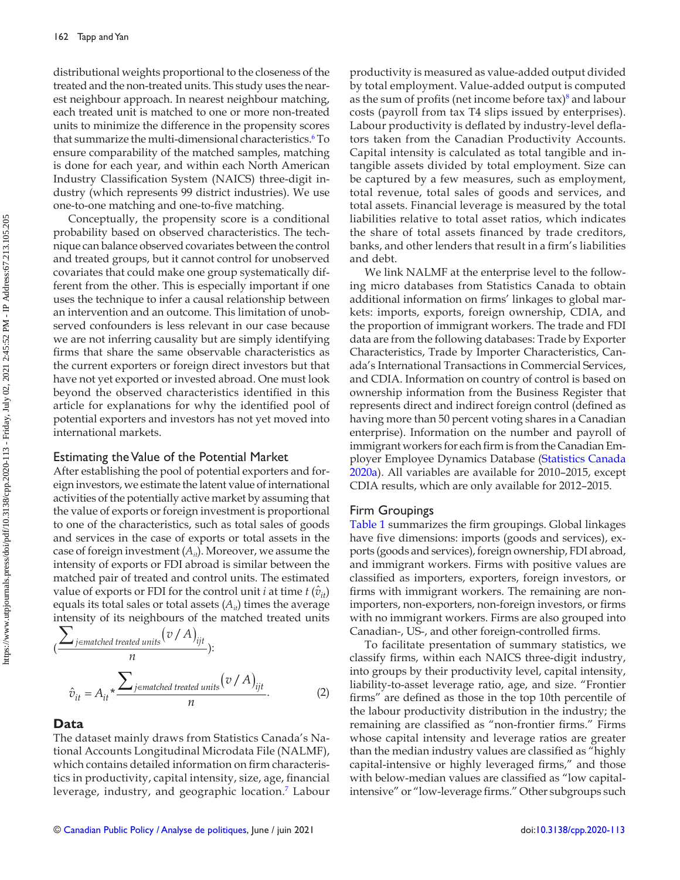<span id="page-4-0"></span>distributional weights proportional to the closeness of the treated and the non-treated units. This study uses the nearest neighbour approach. In nearest neighbour matching, each treated unit is matched to one or more non-treated units to minimize the difference in the propensity scores that summarize the multi-dimensional characteristics.<sup>6</sup> To ensure comparability of the matched samples, matching is done for each year, and within each North American Industry Classification System (NAICS) three-digit industry (which represents 99 district industries). We use one-to-one matching and one-to-five matching.

 Conceptually, the propensity score is a conditional probability based on observed characteristics. The technique can balance observed covariates between the control and treated groups, but it cannot control for unobserved covariates that could make one group systematically different from the other. This is especially important if one uses the technique to infer a causal relationship between an intervention and an outcome. This limitation of unobserved confounders is less relevant in our case because we are not inferring causality but are simply identifying firms that share the same observable characteristics as the current exporters or foreign direct investors but that have not yet exported or invested abroad. One must look beyond the observed characteristics identified in this article for explanations for why the identified pool of potential exporters and investors has not yet moved into international markets.

## Estimating the Value of the Potential Market

 After establishing the pool of potential exporters and foreign investors, we estimate the latent value of international activities of the potentially active market by assuming that the value of exports or foreign investment is proportional to one of the characteristics, such as total sales of goods and services in the case of exports or total assets in the case of foreign investment ( $A_{it}$ ). Moreover, we assume the intensity of exports or FDI abroad is similar between the matched pair of treated and control units. The estimated value of exports or FDI for the control unit *i* at time  $t(\hat{v}_{it})$ equals its total sales or total assets  $(A_{it})$  times the average intensity of its neighbours of the matched treated units

$$
\left(\frac{\sum_{j\in matched\ treated\ units} (v/A)_{ijt}}{n}\right):
$$
\n
$$
\hat{v}_{it} = A_{it} * \frac{\sum_{j\in matched\ treated\ units} (v/A)_{ijt}}{n}.
$$
\n(2)

#### **Data**

 The dataset mainly draws from Statistics Canada's National Accounts Longitudinal Microdata File (NALMF), which contains detailed information on firm characteristics in productivity, capital intensity, size, age, financial leverage, industry, and geographic location.<sup>[7](#page-10-0)</sup> Labour productivity is measured as value-added output divided by total employment. Value-added output is computed as the sum of profits (net income before  $\text{tax}$ )<sup>8</sup> and labour costs (payroll from tax T4 slips issued by enterprises). Labour productivity is deflated by industry-level deflators taken from the Canadian Productivity Accounts. Capital intensity is calculated as total tangible and intangible assets divided by total employment. Size can be captured by a few measures, such as employment, total revenue, total sales of goods and services, and total assets. Financial leverage is measured by the total liabilities relative to total asset ratios, which indicates the share of total assets financed by trade creditors, banks, and other lenders that result in a firm's liabilities and debt.

 We link NALMF at the enterprise level to the following micro databases from Statistics Canada to obtain additional information on firms' linkages to global markets: imports, exports, foreign ownership, CDIA, and the proportion of immigrant workers. The trade and FDI data are from the following databases: Trade by Exporter Characteristics, Trade by Importer Characteristics, Canada's International Transactions in Commercial Services, and CDIA. Information on country of control is based on ownership information from the Business Register that represents direct and indirect foreign control (defined as having more than 50 percent voting shares in a Canadian enterprise). Information on the number and payroll of immigrant workers for each firm is from the Canadian Employer Employee Dynamics Database ([Statistics Canada](#page-11-0) [2020a](#page-11-0)). All variables are available for 2010–2015, except CDIA results, which are only available for 2012–2015.

#### Firm Groupings

Table 1 summarizes the firm groupings. Global linkages have five dimensions: imports (goods and services), exports (goods and services), foreign ownership, FDI abroad, and immigrant workers. Firms with positive values are classified as importers, exporters, foreign investors, or firms with immigrant workers. The remaining are nonimporters, non-exporters, non-foreign investors, or firms with no immigrant workers. Firms are also grouped into Canadian-, US-, and other foreign-controlled firms.

 To facilitate presentation of summary statistics, we classify firms, within each NAICS three-digit industry, into groups by their productivity level, capital intensity, liability-to-asset leverage ratio, age, and size. "Frontier firms" are defined as those in the top 10th percentile of the labour productivity distribution in the industry; the remaining are classified as "non-frontier firms." Firms whose capital intensity and leverage ratios are greater than the median industry values are classified as "highly capital-intensive or highly leveraged firms," and those with below-median values are classified as "low capitalintensive" or "low-leverage firms." Other subgroups such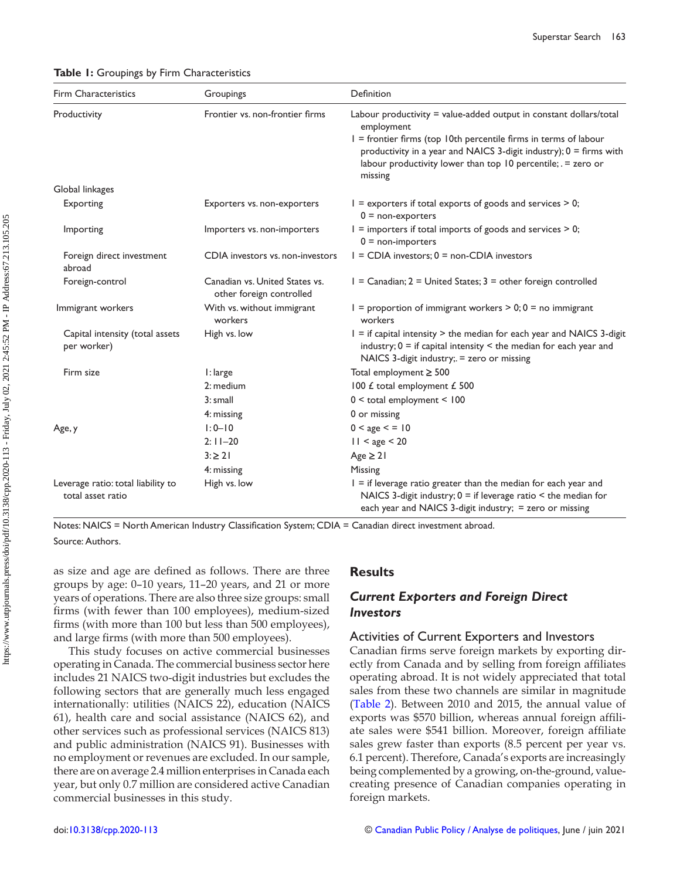<span id="page-5-0"></span> **Table 1:** Groupings by Firm Characteristics

| Firm Characteristics                                    | Groupings                                                  | Definition                                                                                                                                                                                                                   |
|---------------------------------------------------------|------------------------------------------------------------|------------------------------------------------------------------------------------------------------------------------------------------------------------------------------------------------------------------------------|
| Productivity                                            | Frontier vs. non-frontier firms                            | Labour productivity = value-added output in constant dollars/total<br>employment<br>I = frontier firms (top 10th percentile firms in terms of labour<br>productivity in a year and NAICS 3-digit industry); $0 =$ firms with |
|                                                         |                                                            | labour productivity lower than top 10 percentile; . = zero or<br>missing                                                                                                                                                     |
| Global linkages                                         |                                                            |                                                                                                                                                                                                                              |
| Exporting                                               | Exporters vs. non-exporters                                | $I =$ exporters if total exports of goods and services $> 0$ ;<br>$0 =$ non-exporters                                                                                                                                        |
| Importing                                               | Importers vs. non-importers                                | $I =$ importers if total imports of goods and services $> 0$ ;<br>$0 = non-importers$                                                                                                                                        |
| Foreign direct investment<br>abroad                     | CDIA investors vs. non-investors                           | $I = CDIA$ investors: $0 = non-CDIA$ investors                                                                                                                                                                               |
| Foreign-control                                         | Canadian vs. United States vs.<br>other foreign controlled | $I =$ Canadian; 2 = United States; 3 = other foreign controlled                                                                                                                                                              |
| Immigrant workers                                       | With vs. without immigrant<br>workers                      | $1 =$ proportion of immigrant workers $> 0$ ; 0 = no immigrant<br>workers                                                                                                                                                    |
| Capital intensity (total assets<br>per worker)          | High vs. low                                               | I = if capital intensity > the median for each year and NAICS 3-digit<br>industry; $0 =$ if capital intensity $\leq$ the median for each year and<br>NAICS 3-digit industry;. = zero or missing                              |
| Firm size                                               | I: large                                                   | Total employment $\geq 500$                                                                                                                                                                                                  |
|                                                         | 2: medium                                                  | 100 £ total employment £ 500                                                                                                                                                                                                 |
|                                                         | 3: small                                                   | $0 <$ total employment $< 100$                                                                                                                                                                                               |
|                                                         | 4: missing                                                 | 0 or missing                                                                                                                                                                                                                 |
| Age, y                                                  | $1:0 - 10$                                                 | 0 < age < 10                                                                                                                                                                                                                 |
|                                                         | $2:11 - 20$                                                | $11 <$ age $<$ 20                                                                                                                                                                                                            |
|                                                         | $3: \ge 21$                                                | $Age \geq 21$                                                                                                                                                                                                                |
|                                                         | 4: missing                                                 | Missing                                                                                                                                                                                                                      |
| Leverage ratio: total liability to<br>total asset ratio | High vs. low                                               | $I =$ if leverage ratio greater than the median for each year and<br>NAICS 3-digit industry; $0 =$ if leverage ratio $\leq$ the median for<br>each year and NAICS 3-digit industry; = zero or missing                        |

Notes: NAICS = North American Industry Classification System; CDIA = Canadian direct investment abroad. Source: Authors.

as size and age are defined as follows. There are three groups by age: 0–10 years, 11–20 years, and 21 or more years of operations. There are also three size groups: small firms (with fewer than 100 employees), medium-sized firms (with more than 100 but less than 500 employees), and large firms (with more than 500 employees).

 This study focuses on active commercial businesses operating in Canada. The commercial business sector here includes 21 NAICS two-digit industries but excludes the following sectors that are generally much less engaged internationally: utilities (NAICS 22), education (NAICS 61), health care and social assistance (NAICS 62), and other services such as professional services (NAICS 813) and public administration (NAICS 91). Businesses with no employment or revenues are excluded. In our sample, there are on average 2.4 million enterprises in Canada each year, but only 0.7 million are considered active Canadian commercial businesses in this study.

## **Results**

## *Current Exporters and Foreign Direct Investors*

#### Activities of Current Exporters and Investors

Canadian firms serve foreign markets by exporting directly from Canada and by selling from foreign affiliates operating abroad. It is not widely appreciated that total sales from these two channels are similar in magnitude (Table 2). Between 2010 and 2015, the annual value of exports was \$570 billion, whereas annual foreign affiliate sales were \$541 billion. Moreover, foreign affiliate sales grew faster than exports (8.5 percent per year vs. 6.1 percent). Therefore, Canada's exports are increasingly being complemented by a growing, on-the-ground, valuecreating presence of Canadian companies operating in foreign markets.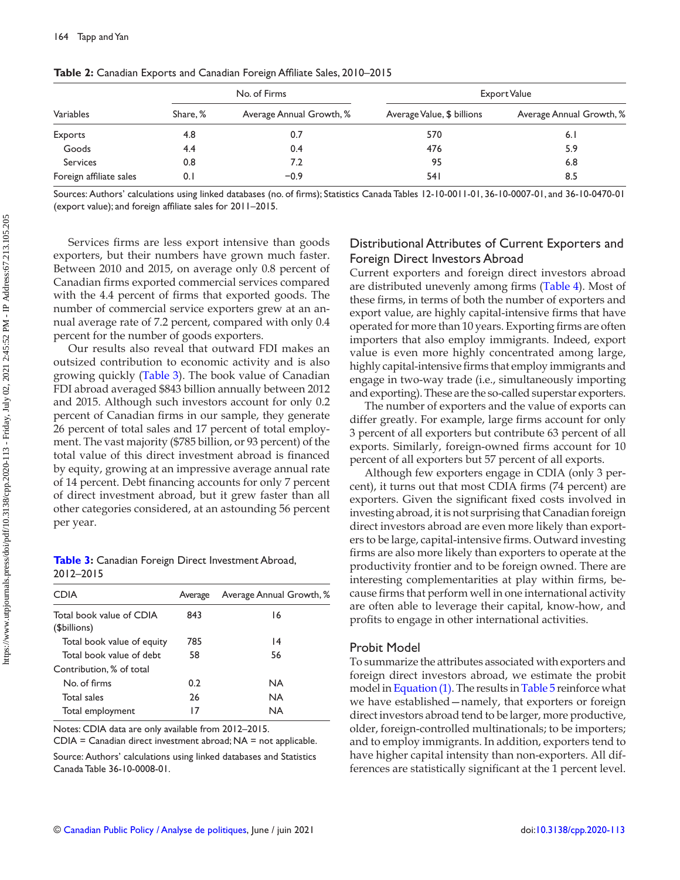| Variables               | No. of Firms |                          | Export Value               |                          |  |
|-------------------------|--------------|--------------------------|----------------------------|--------------------------|--|
|                         | Share, %     | Average Annual Growth, % | Average Value, \$ billions | Average Annual Growth, % |  |
| Exports                 | 4.8          | 0.7                      | 570                        | 6.1                      |  |
| Goods                   | 4.4          | 0.4                      | 476                        | 5.9                      |  |
| Services                | 0.8          | 7.2                      | 95                         | 6.8                      |  |
| Foreign affiliate sales | 0. I         | $-0.9$                   | 54 I                       | 8.5                      |  |

<span id="page-6-0"></span>Table 2: Canadian Exports and Canadian Foreign Affiliate Sales, 2010–2015

Sources: Authors' calculations using linked databases (no. of firms); Statistics Canada Tables 12-10-0011-01, 36-10-0007-01, and 36-10-0470-01 (export value); and foreign affiliate sales for 2011-2015.

Services firms are less export intensive than goods exporters, but their numbers have grown much faster. Between 2010 and 2015, on average only 0.8 percent of Canadian firms exported commercial services compared with the 4.4 percent of firms that exported goods. The number of commercial service exporters grew at an annual average rate of 7.2 percent, compared with only 0.4 percent for the number of goods exporters.

 Our results also reveal that outward FDI makes an outsized contribution to economic activity and is also growing quickly (Table 3). The book value of Canadian FDI abroad averaged \$843 billion annually between 2012 and 2015. Although such investors account for only 0.2 percent of Canadian firms in our sample, they generate 26 percent of total sales and 17 percent of total employment. The vast majority (\$785 billion, or 93 percent) of the total value of this direct investment abroad is financed by equity, growing at an impressive average annual rate of 14 percent. Debt financing accounts for only 7 percent of direct investment abroad, but it grew faster than all other categories considered, at an astounding 56 percent per year.

**Table 3:** Canadian Foreign Direct Investment Abroad, 2012–2015

| <b>CDIA</b>                              | Average | Average Annual Growth, % |
|------------------------------------------|---------|--------------------------|
| Total book value of CDIA<br>(\$billions) | 843     | 16                       |
| Total book value of equity               | 785     | $\overline{14}$          |
| Total book value of debt                 | 58      | 56                       |
| Contribution, % of total                 |         |                          |
| No. of firms                             | 0.2     | NA                       |
| Total sales                              | 26      | <b>NA</b>                |
| Total employment                         | 17      | NA                       |

Notes: CDIA data are only available from 2012–2015.

CDIA = Canadian direct investment abroad; NA = not applicable.

Source: Authors' calculations using linked databases and Statistics Canada Table 36-10-0008-01.

## Distributional Attributes of Current Exporters and Foreign Direct Investors Abroad

 Current exporters and foreign direct investors abroad are distributed unevenly among firms (Table 4). Most of these firms, in terms of both the number of exporters and export value, are highly capital-intensive firms that have operated for more than 10 years. Exporting firms are often importers that also employ immigrants. Indeed, export value is even more highly concentrated among large, highly capital-intensive firms that employ immigrants and engage in two-way trade (i.e., simultaneously importing and exporting). These are the so-called superstar exporters.

 The number of exporters and the value of exports can differ greatly. For example, large firms account for only 3 percent of all exporters but contribute 63 percent of all exports. Similarly, foreign-owned firms account for 10 percent of all exporters but 57 percent of all exports.

 Although few exporters engage in CDIA (only 3 percent), it turns out that most CDIA firms (74 percent) are exporters. Given the significant fixed costs involved in investing abroad, it is not surprising that Canadian foreign direct investors abroad are even more likely than exporters to be large, capital-intensive firms. Outward investing firms are also more likely than exporters to operate at the productivity frontier and to be foreign owned. There are interesting complementarities at play within firms, because firms that perform well in one international activity are often able to leverage their capital, know-how, and profits to engage in other international activities.

#### Probit Model

 To summarize the attributes associated with exporters and foreign direct investors abroad, we estimate the probit model in [Equation \(1\)](#page-3-0). The results in [Table 5](#page-7-0) reinforce what we have established—namely, that exporters or foreign direct investors abroad tend to be larger, more productive, older, foreign-controlled multinationals; to be importers; and to employ immigrants. In addition, exporters tend to have higher capital intensity than non-exporters. All differences are statistically significant at the 1 percent level.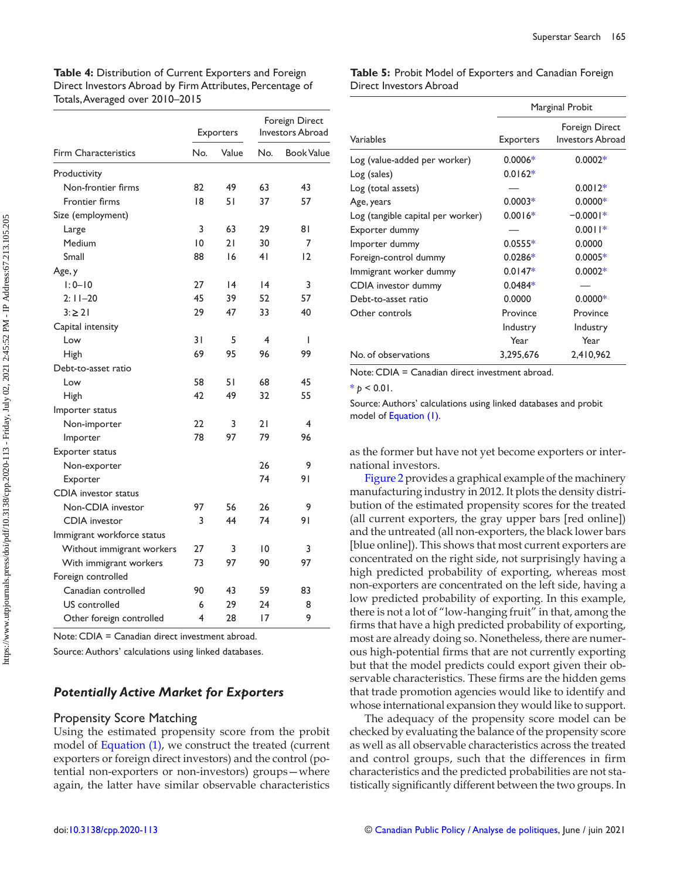<span id="page-7-0"></span>**Table 4:** Distribution of Current Exporters and Foreign Direct Investors Abroad by Firm Attributes, Percentage of Totals, Averaged over 2010–2015

|                             | Exporters      |       | Foreign Direct<br>Investors Abroad |                   |
|-----------------------------|----------------|-------|------------------------------------|-------------------|
| <b>Firm Characteristics</b> | No.            | Value | No.                                | <b>Book Value</b> |
| Productivity                |                |       |                                    |                   |
| Non-frontier firms          | 82             | 49    | 63                                 | 43                |
| Frontier firms              | 18             | 51    | 37                                 | 57                |
| Size (employment)           |                |       |                                    |                   |
| Large                       | 3              | 63    | 29                                 | 81                |
| Medium                      | $\overline{0}$ | 21    | 30                                 | 7                 |
| Small                       | 88             | 16    | 41                                 | $\overline{2}$    |
| Age, y                      |                |       |                                    |                   |
| $1:0 - 10$                  | 27             | 4     | 4                                  | 3                 |
| $2:11-20$                   | 45             | 39    | 52                                 | 57                |
| $3: \ge 21$                 | 29             | 47    | 33                                 | 40                |
| Capital intensity           |                |       |                                    |                   |
| Low                         | 31             | 5     | 4                                  | I                 |
| <b>High</b>                 | 69             | 95    | 96                                 | 99                |
| Debt-to-asset ratio         |                |       |                                    |                   |
| Low                         | 58             | 51    | 68                                 | 45                |
| <b>High</b>                 | 42             | 49    | 32                                 | 55                |
| Importer status             |                |       |                                    |                   |
| Non-importer                | 22             | 3     | 21                                 | 4                 |
| Importer                    | 78             | 97    | 79                                 | 96                |
| Exporter status             |                |       |                                    |                   |
| Non-exporter                |                |       | 26                                 | 9                 |
| Exporter                    |                |       | 74                                 | 91                |
| CDIA investor status        |                |       |                                    |                   |
| Non-CDIA investor           | 97             | 56    | 26                                 | 9                 |
| <b>CDIA</b> investor        | 3              | 44    | 74                                 | 91                |
| Immigrant workforce status  |                |       |                                    |                   |
| Without immigrant workers   | 27             | 3     | 10                                 | 3                 |
| With immigrant workers      | 73             | 97    | 90                                 | 97                |
| Foreign controlled          |                |       |                                    |                   |
| Canadian controlled         | 90             | 43    | 59                                 | 83                |
| US controlled               | 6              | 29    | 24                                 | 8                 |
| Other foreign controlled    | 4              | 28    | 17                                 | 9                 |

Note: CDIA = Canadian direct investment abroad.

Source: Authors' calculations using linked databases.

## *Potentially Active Market for Exporters*

#### Propensity Score Matching

 Using the estimated propensity score from the probit model of [Equation \(1\)](#page-3-0), we construct the treated (current exporters or foreign direct investors) and the control (potential non-exporters or non-investors) groups—where again, the latter have similar observable characteristics

**Table 5:** Probit Model of Exporters and Canadian Foreign Direct Investors Abroad

|                                   | Marginal Probit  |                                           |  |  |
|-----------------------------------|------------------|-------------------------------------------|--|--|
| Variables                         | <b>Exporters</b> | Foreign Direct<br><b>Investors Abroad</b> |  |  |
| Log (value-added per worker)      | $0.0006*$        | $0.0002*$                                 |  |  |
| Log (sales)                       | $0.0162*$        |                                           |  |  |
| Log (total assets)                |                  | $0.0012*$                                 |  |  |
| Age, years                        | $0.0003*$        | $0.0000*$                                 |  |  |
| Log (tangible capital per worker) | $0.0016*$        | $-0.0001*$                                |  |  |
| Exporter dummy                    |                  | $0.0011*$                                 |  |  |
| Importer dummy                    | $0.0555*$        | 0.0000                                    |  |  |
| Foreign-control dummy             | $0.0286*$        | $0.0005*$                                 |  |  |
| Immigrant worker dummy            | $0.0147*$        | $0.0002*$                                 |  |  |
| CDIA investor dummy               | $0.0484*$        |                                           |  |  |
| Debt-to-asset ratio               | 0.0000           | $0.0000*$                                 |  |  |
| Other controls                    | Province         | Province                                  |  |  |
|                                   | Industry         | Industry                                  |  |  |
|                                   | Year             | Year                                      |  |  |
| No. of observations               | 3,295,676        | 2,410,962                                 |  |  |

Note: CDIA = Canadian direct investment abroad.

 $* p < 0.01$ .

Source: Authors' calculations using linked databases and probit model of [Equation \(1\)](#page-3-0).

as the former but have not yet become exporters or international investors.

 [Figure 2](#page-8-0) provides a graphical example of the machinery manufacturing industry in 2012. It plots the density distribution of the estimated propensity scores for the treated (all current exporters, the gray upper bars [red online]) and the untreated (all non-exporters, the black lower bars [blue online]). This shows that most current exporters are concentrated on the right side, not surprisingly having a high predicted probability of exporting, whereas most non-exporters are concentrated on the left side, having a low predicted probability of exporting. In this example, there is not a lot of "low-hanging fruit" in that, among the firms that have a high predicted probability of exporting, most are already doing so. Nonetheless, there are numerous high-potential firms that are not currently exporting but that the model predicts could export given their observable characteristics. These firms are the hidden gems that trade promotion agencies would like to identify and whose international expansion they would like to support.

 The adequacy of the propensity score model can be checked by evaluating the balance of the propensity score as well as all observable characteristics across the treated and control groups, such that the differences in firm characteristics and the predicted probabilities are not statistically significantly different between the two groups. In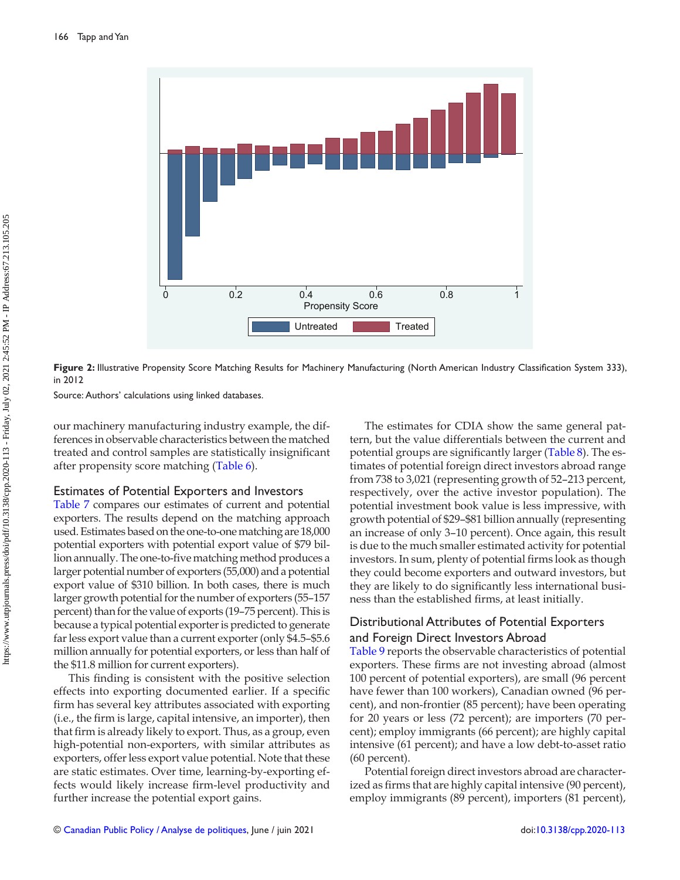<span id="page-8-0"></span>

Figure 2: Illustrative Propensity Score Matching Results for Machinery Manufacturing (North American Industry Classification System 333), in 2012

Source: Authors' calculations using linked databases.

our machinery manufacturing industry example, the differences in observable characteristics between the matched treated and control samples are statistically insignificant after propensity score matching  $(Table 6)$ .

## Estimates of Potential Exporters and Investors

 [Table 7](#page-9-0) compares our estimates of current and potential exporters. The results depend on the matching approach used. Estimates based on the one-to-one matching are 18,000 potential exporters with potential export value of \$79 billion annually. The one-to-five matching method produces a larger potential number of exporters (55,000) and a potential export value of \$310 billion. In both cases, there is much larger growth potential for the number of exporters (55–157 percent) than for the value of exports (19–75 percent). This is because a typical potential exporter is predicted to generate far less export value than a current exporter (only \$4.5–\$5.6 million annually for potential exporters, or less than half of the \$11.8 million for current exporters).

This finding is consistent with the positive selection effects into exporting documented earlier. If a specific firm has several key attributes associated with exporting (i.e., the firm is large, capital intensive, an importer), then that firm is already likely to export. Thus, as a group, even high-potential non-exporters, with similar attributes as exporters, offer less export value potential. Note that these are static estimates. Over time, learning-by-exporting effects would likely increase firm-level productivity and further increase the potential export gains.

 The estimates for CDIA show the same general pattern, but the value differentials between the current and potential groups are significantly larger (Table 8). The estimates of potential foreign direct investors abroad range from 738 to 3,021 (representing growth of 52–213 percent, respectively, over the active investor population). The potential investment book value is less impressive, with growth potential of \$29–\$81 billion annually (representing an increase of only 3–10 percent). Once again, this result is due to the much smaller estimated activity for potential investors. In sum, plenty of potential firms look as though they could become exporters and outward investors, but they are likely to do significantly less international business than the established firms, at least initially.

## Distributional Attributes of Potential Exporters and Foreign Direct Investors Abroad

 [Table 9](#page-9-0) reports the observable characteristics of potential exporters. These firms are not investing abroad (almost 100 percent of potential exporters), are small (96 percent have fewer than 100 workers), Canadian owned (96 percent), and non-frontier (85 percent); have been operating for 20 years or less (72 percent); are importers (70 percent); employ immigrants (66 percent); are highly capital intensive (61 percent); and have a low debt-to-asset ratio (60 percent).

 Potential foreign direct investors abroad are characterized as firms that are highly capital intensive (90 percent), employ immigrants (89 percent), importers (81 percent),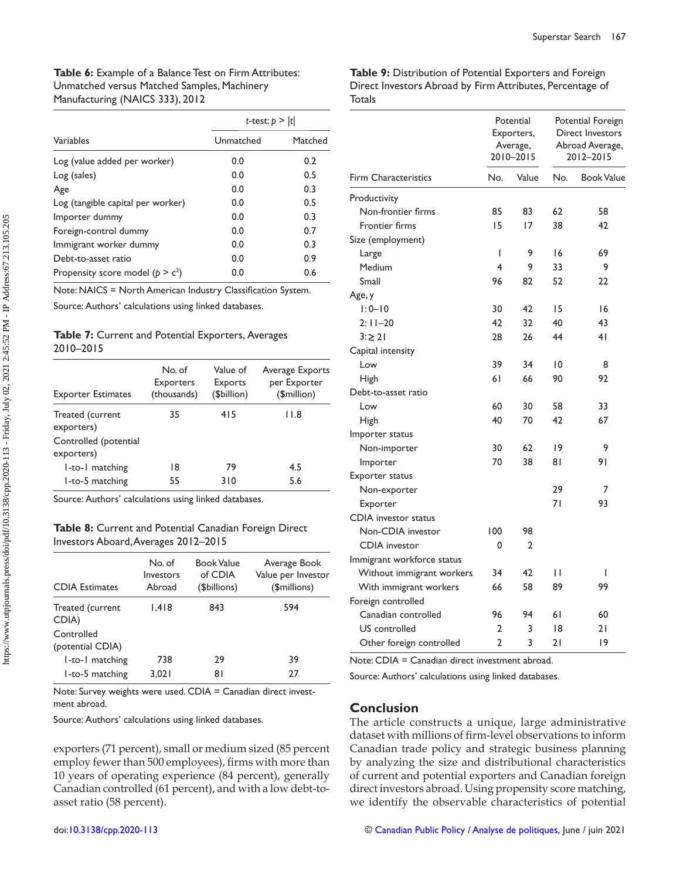<span id="page-9-0"></span>

|                                     | t-test: $p >  t $ |         |  |  |
|-------------------------------------|-------------------|---------|--|--|
| Variables                           | Unmatched         | Matched |  |  |
| Log (value added per worker)        | 0.0               | 0.2     |  |  |
| Log (sales)                         | 0.0               | 0.5     |  |  |
| Age                                 | 0.0               | 0.3     |  |  |
| Log (tangible capital per worker)   | 0.0               | 0.5     |  |  |
| Importer dummy                      | 0.0               | 0.3     |  |  |
| Foreign-control dummy               | 0.0               | 0.7     |  |  |
| Immigrant worker dummy              | 0.0               | 0.3     |  |  |
| Debt-to-asset ratio                 | 0.0               | 0.9     |  |  |
| Propensity score model ( $p > c2$ ) | 0.0               | 0.6     |  |  |

Note: NAICS = North American Industry Classification System.

Source: Authors' calculations using linked databases.

#### **Table 7:** Current and Potential Exporters, Averages 2010–2015

| <b>Exporter Estimates</b>           | No. of<br><b>Exporters</b><br>(thousands) | Value of<br>Exports<br>(\$billion) | Average Exports<br>per Exporter<br>(\$million) |
|-------------------------------------|-------------------------------------------|------------------------------------|------------------------------------------------|
| Treated (current<br>exporters)      | 35                                        | 415                                | 11.8                                           |
| Controlled (potential<br>exporters) |                                           |                                    |                                                |
| I-to-I matching                     | 18                                        | 79                                 | 4.5                                            |
| 1-to-5 matching                     | 55                                        | 310                                | 5.6                                            |

Source: Authors' calculations using linked databases.

## **Table 8:** Current and Potential Canadian Foreign Direct Investors Aboard, Averages 2012–2015

| <b>CDIA</b> Estimates          | No. of<br>Investors<br>Abroad | <b>Book Value</b><br>of CDIA<br>(\$billions) | Average Book<br>Value per Investor<br>(\$millions) |  |
|--------------------------------|-------------------------------|----------------------------------------------|----------------------------------------------------|--|
| Treated (current<br>CDIA)      | 1.418                         | 843                                          | 594                                                |  |
| Controlled<br>(potential CDIA) |                               |                                              |                                                    |  |
| 1-to-1 matching                | 738                           | 29                                           | 39                                                 |  |
| 1-to-5 matching                | 3.021                         | 81                                           | 27                                                 |  |

Note: Survey weights were used. CDIA = Canadian direct investment abroad.

Source: Authors' calculations using linked databases.

exporters (71 percent), small or medium sized (85 percent employ fewer than 500 employees), firms with more than 10 years of operating experience (84 percent), generally Canadian controlled (61 percent), and with a low debt-toasset ratio (58 percent).

**Table 9:** Distribution of Potential Exporters and Foreign Direct Investors Abroad by Firm Attributes, Percentage of **Totals** 

|                             | Potential<br>Exporters,<br>Average,<br>2010-2015 |                | Potential Foreign<br>Direct Investors<br>Abroad Average,<br>2012-2015 |                   |
|-----------------------------|--------------------------------------------------|----------------|-----------------------------------------------------------------------|-------------------|
| <b>Firm Characteristics</b> | No.                                              | Value          | No.                                                                   | <b>Book Value</b> |
| Productivity                |                                                  |                |                                                                       |                   |
| Non-frontier firms          | 85                                               | 83             | 62                                                                    | 58                |
| Frontier firms              | 15                                               | 17             | 38                                                                    | 42                |
| Size (employment)           |                                                  |                |                                                                       |                   |
| Large                       | T                                                | 9              | 16                                                                    | 69                |
| Medium                      | 4                                                | 9              | 33                                                                    | 9                 |
| Small                       | 96                                               | 82             | 52                                                                    | 22                |
| Age, y                      |                                                  |                |                                                                       |                   |
| $1:0 - 10$                  | 30                                               | 42             | 15                                                                    | 16                |
| $2:11 - 20$                 | 42                                               | 32             | 40                                                                    | 43                |
| $3: \ge 21$                 | 28                                               | 26             | 44                                                                    | 41                |
| Capital intensity           |                                                  |                |                                                                       |                   |
| Low                         | 39                                               | 34             | 10                                                                    | 8                 |
| High                        | 61                                               | 66             | 90                                                                    | 92                |
| Debt-to-asset ratio         |                                                  |                |                                                                       |                   |
| Low                         | 60                                               | 30             | 58                                                                    | 33                |
| High                        | 40                                               | 70             | 42                                                                    | 67                |
| Importer status             |                                                  |                |                                                                       |                   |
| Non-importer                | 30                                               | 62             | 19                                                                    | 9                 |
| Importer                    | 70                                               | 38             | 81                                                                    | 91                |
| Exporter status             |                                                  |                |                                                                       |                   |
| Non-exporter                |                                                  |                | 29                                                                    | 7                 |
| Exporter                    |                                                  |                | 71                                                                    | 93                |
| CDIA investor status        |                                                  |                |                                                                       |                   |
| Non-CDIA investor           | 100                                              | 98             |                                                                       |                   |
| <b>CDIA</b> investor        | 0                                                | $\overline{2}$ |                                                                       |                   |
| Immigrant workforce status  |                                                  |                |                                                                       |                   |
| Without immigrant workers   | 34                                               | 42             | П                                                                     | I                 |
| With immigrant workers      | 66                                               | 58             | 89                                                                    | 99                |
| Foreign controlled          |                                                  |                |                                                                       |                   |
| Canadian controlled         | 96                                               | 94             | 61                                                                    | 60                |
| US controlled               | 2                                                | 3              | 18                                                                    | 21                |
| Other foreign controlled    | $\overline{2}$                                   | 3              | 21                                                                    | 19                |

Note: CDIA = Canadian direct investment abroad.

Source: Authors' calculations using linked databases.

## **Conclusion**

 The article constructs a unique, large administrative dataset with millions of firm-level observations to inform Canadian trade policy and strategic business planning by analyzing the size and distributional characteristics of current and potential exporters and Canadian foreign direct investors abroad. Using propensity score matching, we identify the observable characteristics of potential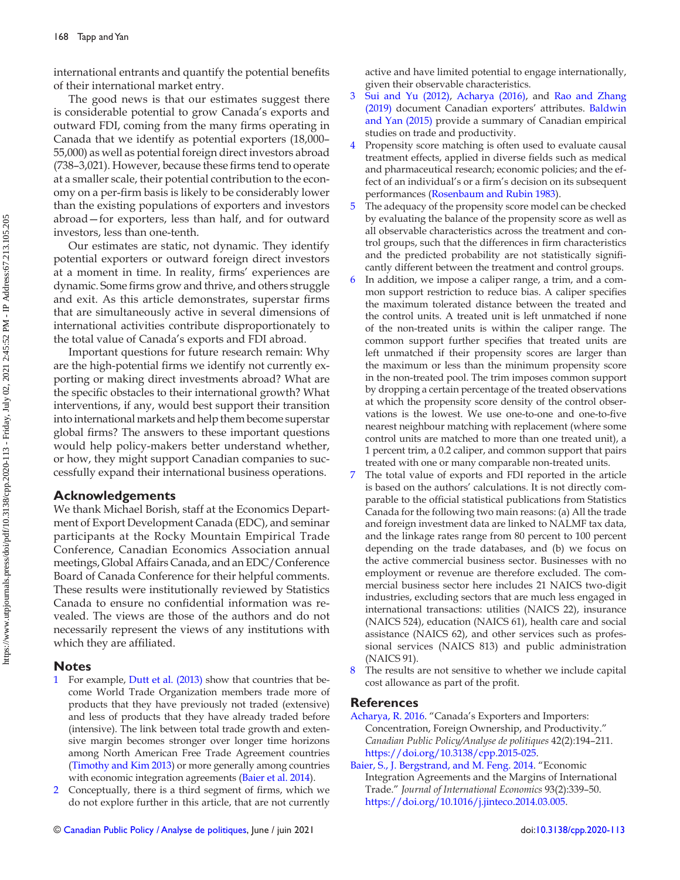<span id="page-10-0"></span>international entrants and quantify the potential benefits of their international market entry.

 The good news is that our estimates suggest there is considerable potential to grow Canada's exports and outward FDI, coming from the many firms operating in Canada that we identify as potential exporters (18,000– 55,000) as well as potential foreign direct investors abroad  $(738-3,021)$ . However, because these firms tend to operate at a smaller scale, their potential contribution to the economy on a per-firm basis is likely to be considerably lower than the existing populations of exporters and investors abroad—for exporters, less than half, and for outward investors, less than one-tenth.

 Our estimates are static, not dynamic. They identify potential exporters or outward foreign direct investors at a moment in time. In reality, firms' experiences are dynamic. Some firms grow and thrive, and others struggle and exit. As this article demonstrates, superstar firms that are simultaneously active in several dimensions of international activities contribute disproportionately to the total value of Canada's exports and FDI abroad.

 Important questions for future research remain: Why are the high-potential firms we identify not currently exporting or making direct investments abroad? What are the specific obstacles to their international growth? What interventions, if any, would best support their transition into international markets and help them become superstar global firms? The answers to these important questions would help policy-makers better understand whether, or how, they might support Canadian companies to successfully expand their international business operations.

## **Acknowledgements**

 We thank Michael Borish, staff at the Economics Department of Export Development Canada (EDC), and seminar participants at the Rocky Mountain Empirical Trade Conference, Canadian Economics Association annual meetings, Global Affairs Canada, and an EDC/Conference Board of Canada Conference for their helpful comments. These results were institutionally reviewed by Statistics Canada to ensure no confidential information was revealed. The views are those of the authors and do not necessarily represent the views of any institutions with which they are affiliated.

## **Notes**

- [1](#page-1-0) For example, [Dutt et al. \(2013 \)](#page-11-0) show that countries that become World Trade Organization members trade more of products that they have previously not traded (extensive) and less of products that they have already traded before (intensive). The link between total trade growth and extensive margin becomes stronger over longer time horizons among North American Free Trade Agreement countries (Timothy and Kim 2013) or more generally among countries with economic integration agreements (Baier et al. 2014).
- 2 Conceptually, there is a third segment of firms, which we do not explore further in this article, that are not currently

© [Canadian Public Policy / Analyse de politiques](https://www.utpjournals.press/loi/cpp), June / juin 2021 doi:[10.3138/cpp.2020-113](https://doi.org/10.3138/cpp.2020-113)

active and have limited potential to engage internationally, given their observable characteristics.

- 3 Sui and Yu (2012), Acharya (2016), and [Rao and Zhang](#page-11-0) [\(2019 \)](#page-11-0) document Canadian exporters' attributes. [Baldwin](#page-11-0) [and Yan \(2015\)](#page-11-0) provide a summary of Canadian empirical studies on trade and productivity.
- [4](#page-3-0) Propensity score matching is often used to evaluate causal treatment effects, applied in diverse fields such as medical and pharmaceutical research; economic policies; and the effect of an individual's or a firm's decision on its subsequent performances (Rosenbaum and Rubin 1983).
- [5](#page-3-0) The adequacy of the propensity score model can be checked by evaluating the balance of the propensity score as well as all observable characteristics across the treatment and control groups, such that the differences in firm characteristics and the predicted probability are not statistically significantly different between the treatment and control groups.
- [6](#page-4-0) In addition, we impose a caliper range, a trim, and a common support restriction to reduce bias. A caliper specifies the maximum tolerated distance between the treated and the control units. A treated unit is left unmatched if none of the non-treated units is within the caliper range. The common support further specifies that treated units are left unmatched if their propensity scores are larger than the maximum or less than the minimum propensity score in the non-treated pool. The trim imposes common support by dropping a certain percentage of the treated observations at which the propensity score density of the control observations is the lowest. We use one-to-one and one-to-five nearest neighbour matching with replacement (where some control units are matched to more than one treated unit), a 1 percent trim, a 0.2 caliper, and common support that pairs treated with one or many comparable non-treated units.
- [7](#page-4-0) The total value of exports and FDI reported in the article is based on the authors' calculations. It is not directly comparable to the official statistical publications from Statistics Canada for the following two main reasons: (a) All the trade and foreign investment data are linked to NALMF tax data, and the linkage rates range from 80 percent to 100 percent depending on the trade databases, and (b) we focus on the active commercial business sector. Businesses with no employment or revenue are therefore excluded. The commercial business sector here includes 21 NAICS two-digit industries, excluding sectors that are much less engaged in international transactions: utilities (NAICS 22), insurance (NAICS 524), education (NAICS 61), health care and social assistance (NAICS 62), and other services such as professional services (NAICS 813) and public administration (NAICS 91).
- [8](#page-4-0) The results are not sensitive to whether we include capital cost allowance as part of the profit.

## **References**

- Acharya, R. 2016. "Canada's Exporters and Importers: Concentration, Foreign Ownership, and Productivity ." Canadian Public Policy/Analyse de politiques 42(2):194-211.  [https://doi.org/10.3138/cpp.2015-025 .](https://doi.org/10.3138/cpp.2015-025)
- Baier, S., J. Bergstrand, and M. Feng. 2014. "Economic Integration Agreements and the Margins of International Trade." Journal of International Economics 93(2):339-50. <https://doi.org/10.1016/j.jinteco.2014.03.005> .